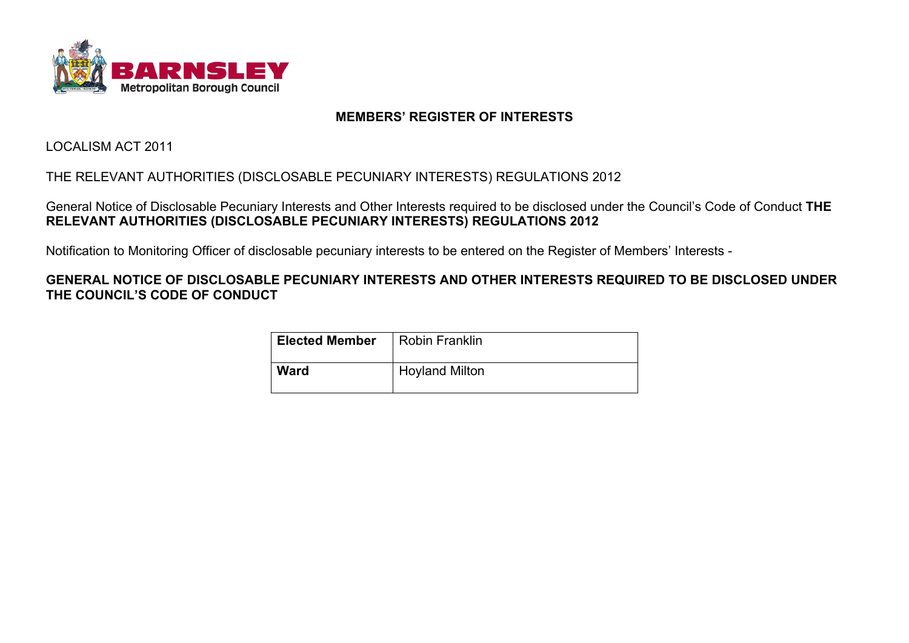

## **MEMBERS' REGISTER OF INTERESTS**

LOCALISM ACT 2011

## THE RELEVANT AUTHORITIES (DISCLOSABLE PECUNIARY INTERESTS) REGULATIONS 2012

General Notice of Disclosable Pecuniary Interests and Other Interests required to be disclosed under the Council's Code of Conduct **THE RELEVANT AUTHORITIES (DISCLOSABLE PECUNIARY INTERESTS) REGULATIONS 2012**

Notification to Monitoring Officer of disclosable pecuniary interests to be entered on the Register of Members' Interests -

## **GENERAL NOTICE OF DISCLOSABLE PECUNIARY INTERESTS AND OTHER INTERESTS REQUIRED TO BE DISCLOSED UNDER THE COUNCIL'S CODE OF CONDUCT**

| <b>Elected Member</b> | <b>Robin Franklin</b> |
|-----------------------|-----------------------|
| Ward                  | <b>Hoyland Milton</b> |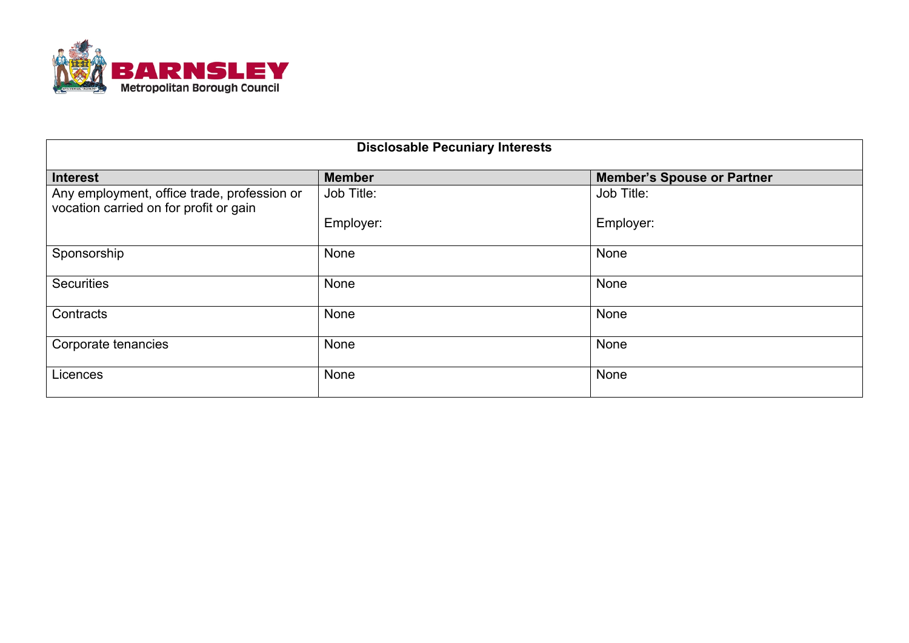

| <b>Disclosable Pecuniary Interests</b>                                                |               |                                   |  |
|---------------------------------------------------------------------------------------|---------------|-----------------------------------|--|
| <b>Interest</b>                                                                       | <b>Member</b> | <b>Member's Spouse or Partner</b> |  |
| Any employment, office trade, profession or<br>vocation carried on for profit or gain | Job Title:    | Job Title:                        |  |
|                                                                                       | Employer:     | Employer:                         |  |
| Sponsorship                                                                           | None          | None                              |  |
| <b>Securities</b>                                                                     | None          | None                              |  |
| Contracts                                                                             | None          | None                              |  |
| Corporate tenancies                                                                   | None          | None                              |  |
| Licences                                                                              | None          | None                              |  |